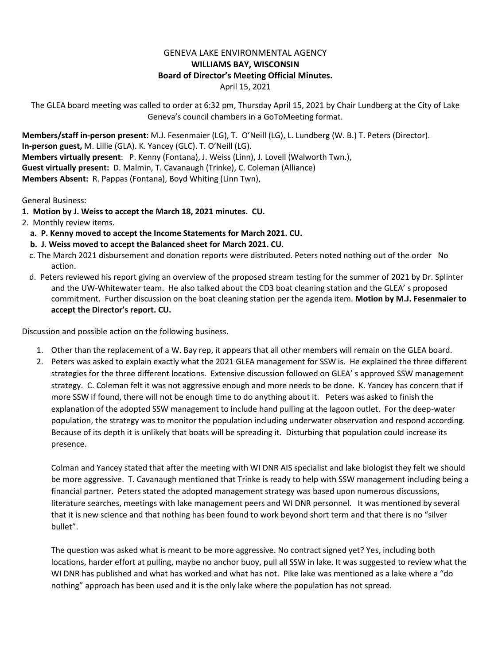## GENEVA LAKE ENVIRONMENTAL AGENCY **WILLIAMS BAY, WISCONSIN Board of Director's Meeting Official Minutes.** April 15, 2021

The GLEA board meeting was called to order at 6:32 pm, Thursday April 15, 2021 by Chair Lundberg at the City of Lake Geneva's council chambers in a GoToMeeting format.

**Members/staff in-person present**: M.J. Fesenmaier (LG), T. O'Neill (LG), L. Lundberg (W. B.) T. Peters (Director). **In-person guest,** M. Lillie (GLA). K. Yancey (GLC). T. O'Neill (LG). **Members virtually present**: P. Kenny (Fontana), J. Weiss (Linn), J. Lovell (Walworth Twn.), **Guest virtually present:** D. Malmin, T. Cavanaugh (Trinke), C. Coleman (Alliance) **Members Absent:** R. Pappas (Fontana), Boyd Whiting (Linn Twn),

General Business:

- **1. Motion by J. Weiss to accept the March 18, 2021 minutes. CU.**
- 2. Monthly review items.
	- **a. P. Kenny moved to accept the Income Statements for March 2021. CU.**
	- **b. J. Weiss moved to accept the Balanced sheet for March 2021. CU.**
	- c. The March 2021 disbursement and donation reports were distributed. Peters noted nothing out of the order No action.
	- d. Peters reviewed his report giving an overview of the proposed stream testing for the summer of 2021 by Dr. Splinter and the UW-Whitewater team. He also talked about the CD3 boat cleaning station and the GLEA' s proposed commitment. Further discussion on the boat cleaning station per the agenda item. **Motion by M.J. Fesenmaier to accept the Director's report. CU.**

Discussion and possible action on the following business.

- 1. Other than the replacement of a W. Bay rep, it appears that all other members will remain on the GLEA board.
- 2. Peters was asked to explain exactly what the 2021 GLEA management for SSW is. He explained the three different strategies for the three different locations. Extensive discussion followed on GLEA' s approved SSW management strategy. C. Coleman felt it was not aggressive enough and more needs to be done. K. Yancey has concern that if more SSW if found, there will not be enough time to do anything about it. Peters was asked to finish the explanation of the adopted SSW management to include hand pulling at the lagoon outlet. For the deep-water population, the strategy was to monitor the population including underwater observation and respond according. Because of its depth it is unlikely that boats will be spreading it. Disturbing that population could increase its presence.

Colman and Yancey stated that after the meeting with WI DNR AIS specialist and lake biologist they felt we should be more aggressive. T. Cavanaugh mentioned that Trinke is ready to help with SSW management including being a financial partner. Peters stated the adopted management strategy was based upon numerous discussions, literature searches, meetings with lake management peers and WI DNR personnel. It was mentioned by several that it is new science and that nothing has been found to work beyond short term and that there is no "silver bullet".

The question was asked what is meant to be more aggressive. No contract signed yet? Yes, including both locations, harder effort at pulling, maybe no anchor buoy, pull all SSW in lake. It was suggested to review what the WI DNR has published and what has worked and what has not. Pike lake was mentioned as a lake where a "do nothing" approach has been used and it is the only lake where the population has not spread.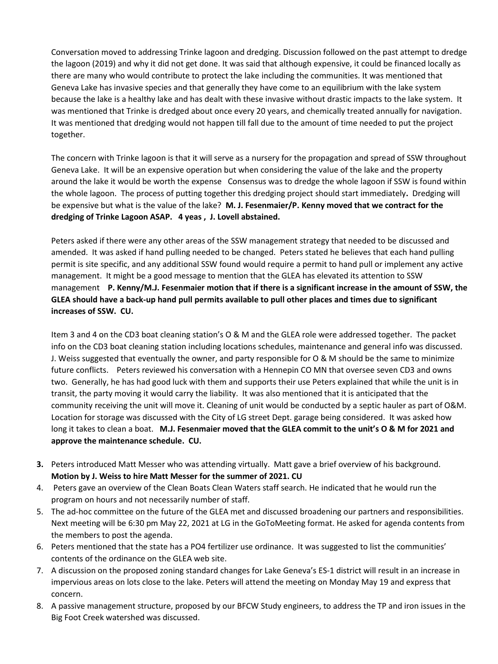Conversation moved to addressing Trinke lagoon and dredging. Discussion followed on the past attempt to dredge the lagoon (2019) and why it did not get done. It was said that although expensive, it could be financed locally as there are many who would contribute to protect the lake including the communities. It was mentioned that Geneva Lake has invasive species and that generally they have come to an equilibrium with the lake system because the lake is a healthy lake and has dealt with these invasive without drastic impacts to the lake system. It was mentioned that Trinke is dredged about once every 20 years, and chemically treated annually for navigation. It was mentioned that dredging would not happen till fall due to the amount of time needed to put the project together.

The concern with Trinke lagoon is that it will serve as a nursery for the propagation and spread of SSW throughout Geneva Lake. It will be an expensive operation but when considering the value of the lake and the property around the lake it would be worth the expense Consensus was to dredge the whole lagoon if SSW is found within the whole lagoon. The process of putting together this dredging project should start immediately**.** Dredging will be expensive but what is the value of the lake? **M. J. Fesenmaier/P. Kenny moved that we contract for the dredging of Trinke Lagoon ASAP. 4 yeas , J. Lovell abstained.** 

Peters asked if there were any other areas of the SSW management strategy that needed to be discussed and amended. It was asked if hand pulling needed to be changed. Peters stated he believes that each hand pulling permit is site specific, and any additional SSW found would require a permit to hand pull or implement any active management. It might be a good message to mention that the GLEA has elevated its attention to SSW management **P. Kenny/M.J. Fesenmaier motion that if there is a significant increase in the amount of SSW, the GLEA should have a back-up hand pull permits available to pull other places and times due to significant increases of SSW. CU.**

Item 3 and 4 on the CD3 boat cleaning station's O & M and the GLEA role were addressed together. The packet info on the CD3 boat cleaning station including locations schedules, maintenance and general info was discussed. J. Weiss suggested that eventually the owner, and party responsible for O & M should be the same to minimize future conflicts. Peters reviewed his conversation with a Hennepin CO MN that oversee seven CD3 and owns two. Generally, he has had good luck with them and supports their use Peters explained that while the unit is in transit, the party moving it would carry the liability. It was also mentioned that it is anticipated that the community receiving the unit will move it. Cleaning of unit would be conducted by a septic hauler as part of O&M. Location for storage was discussed with the City of LG street Dept. garage being considered. It was asked how long it takes to clean a boat. **M.J. Fesenmaier moved that the GLEA commit to the unit's O & M for 2021 and approve the maintenance schedule. CU.** 

- **3.** Peters introduced Matt Messer who was attending virtually. Matt gave a brief overview of his background. **Motion by J. Weiss to hire Matt Messer for the summer of 2021. CU**
- 4. Peters gave an overview of the Clean Boats Clean Waters staff search. He indicated that he would run the program on hours and not necessarily number of staff.
- 5. The ad-hoc committee on the future of the GLEA met and discussed broadening our partners and responsibilities. Next meeting will be 6:30 pm May 22, 2021 at LG in the GoToMeeting format. He asked for agenda contents from the members to post the agenda.
- 6. Peters mentioned that the state has a PO4 fertilizer use ordinance. It was suggested to list the communities' contents of the ordinance on the GLEA web site.
- 7. A discussion on the proposed zoning standard changes for Lake Geneva's ES-1 district will result in an increase in impervious areas on lots close to the lake. Peters will attend the meeting on Monday May 19 and express that concern.
- 8. A passive management structure, proposed by our BFCW Study engineers, to address the TP and iron issues in the Big Foot Creek watershed was discussed.